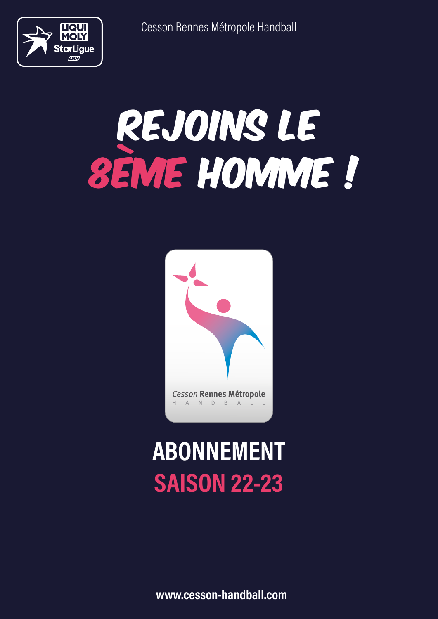

# REJOINS LE 8ÈME HOMME !



### ABONNEMENT SAISON 22-23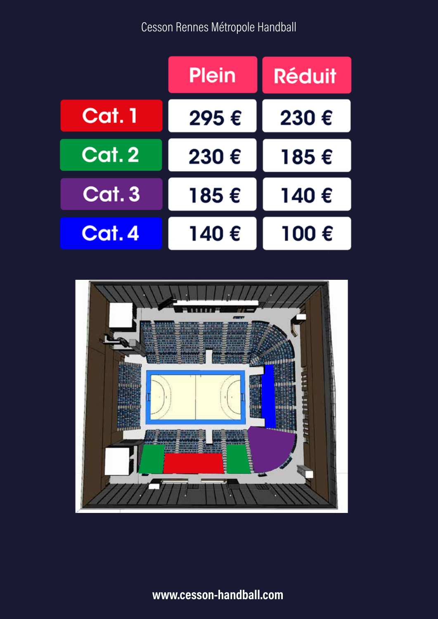

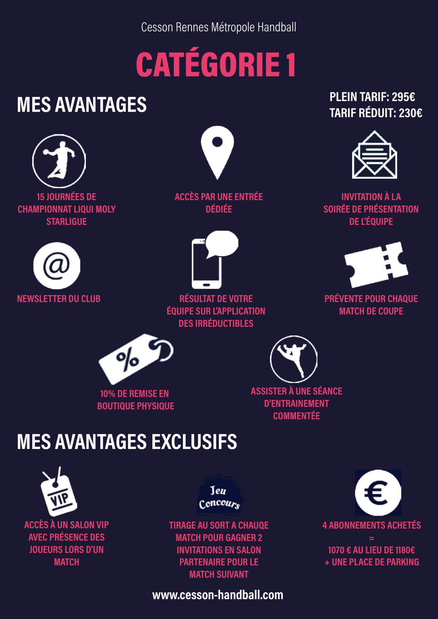## CATÉGORIE 1

### MES AVANTAGES





ACCÈS PAR UNE ENTRÉE DÉDIÉE



NEWSLETTER DU CLUB PRÉVENTE POUR CHAQUE RÉSULTAT DE VOTRE ÉQUIPE SUR L'APPLICATION DES IRRÉDUCTIBLES

#### PLEIN TARIF: 295€ TARIF RÉDUIT: 230€



INVITATION À LA SOIRÉE DE PRÉSENTATION DE L'ÉQUIPE



MATCH DE COUPE



10% DE REMISE EN BOUTIQUE PHYSIQUE ASSISTER À UNE SÉANCE D'ENTRAINEMENT **COMMENTÉE** 

#### MES AVANTAGES EXCLUSIFS



ACCÈS À UN SALON VIP AVEC PRÉSENCE DES JOUEURS LORS D'UN **MATCH** 

Teu  $Concour<sub>c</sub>$ 

TIRAGE AU SORT A CHAUQE MATCH POUR GAGNER 2 INVITATIONS EN SALON PARTENAIRE POUR LE MATCH SUIVANT

4 ABONNEMENTS ACHETÉS = 1070 € AU LIEU DE 1180€ + UNE PLACE DE PARKING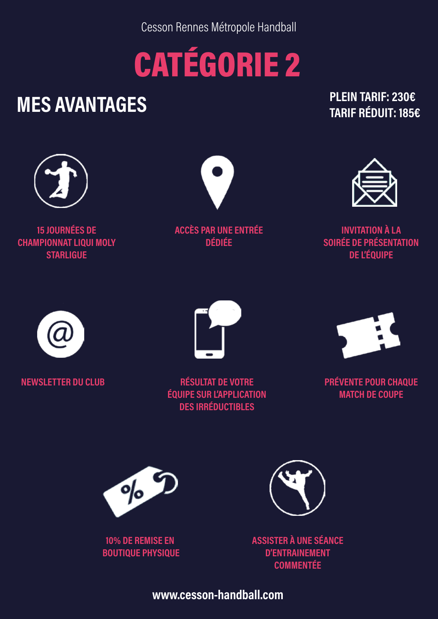### CATÉGORIE 2

### MES AVANTAGES

PLEIN TARIF: 230€ TARIF RÉDUIT: 185€



15 JOURNÉES DE CHAMPIONNAT LIQUI MOLY **STARLIGUE** 



ACCÈS PAR UNE ENTRÉE DÉDIÉE



INVITATION À LA SOIRÉE DE PRÉSENTATION DE L'ÉQUIPE





NEWSLETTER DU CLUB PRÉVENTE POUR CHAQUE RÉSULTAT DE VOTRE ÉQUIPE SUR L'APPLICATION DES IRRÉDUCTIBLES



MATCH DE COUPE



10% DE REMISE EN BOUTIQUE PHYSIQUE



ASSISTER À UNE SÉANCE D'ENTRAINEMENT COMMENTÉE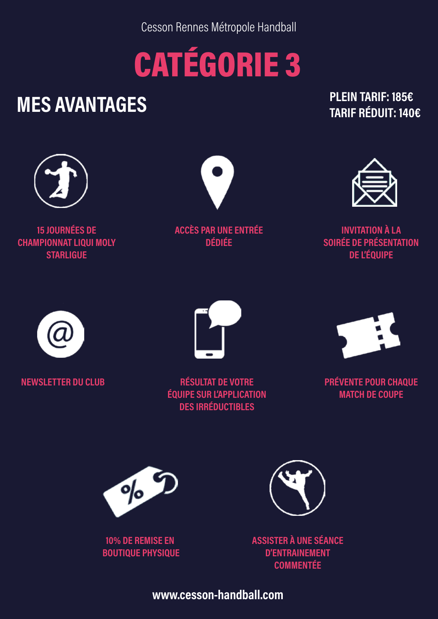### CATÉGORIE 3

### MES AVANTAGES

PLEIN TARIF: 185€ TARIF RÉDUIT: 140€



15 JOURNÉES DE CHAMPIONNAT LIQUI MOLY **STARLIGUE** 



ACCÈS PAR UNE ENTRÉE DÉDIÉE



INVITATION À LA SOIRÉE DE PRÉSENTATION DE L'ÉQUIPE





NEWSLETTER DU CLUB PRÉVENTE POUR CHAQUE RÉSULTAT DE VOTRE ÉQUIPE SUR L'APPLICATION DES IRRÉDUCTIBLES



MATCH DE COUPE



10% DE REMISE EN BOUTIQUE PHYSIQUE



ASSISTER À UNE SÉANCE D'ENTRAINEMENT COMMENTÉE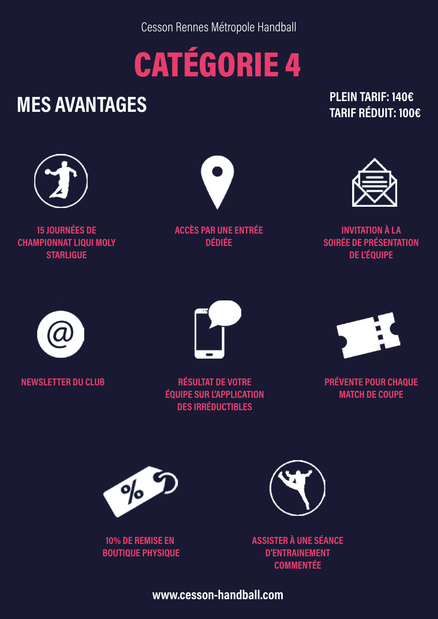### CATÉGORIE 4

### MES AVANTAGES

PLEIN TARIF: 140€ TARIF RÉDUIT: 100€



15 JOURNÉES DE CHAMPIONNAT LIQUI MOLY **STARLIGUE** 



ACCÈS PAR UNE ENTRÉE DÉDIÉE



INVITATION À LA SOIRÉE DE PRÉSENTATION DE L'ÉQUIPE





NEWSLETTER DU CLUB RÉSULTAT DE VOTRE ÉQUIPE SUR L'APPLICATION DES IRRÉDUCTIBLES



PRÉVENTE POUR CHAQUE MATCH DE COUPE



10% DE REMISE EN BOUTIQUE PHYSIQUE



ASSISTER À UNE SÉANCE D'ENTRAINEMENT COMMENTÉE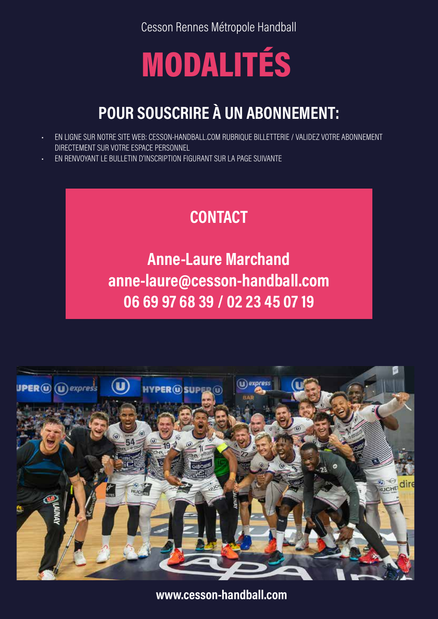### MODALITÉS

#### POUR SOUSCRIRE À UN ABONNEMENT:

- EN LIGNE SUR NOTRE SITE WEB: CESSON-HANDBALL.COM RUBRIQUE BILLETTERIE / VALIDEZ VOTRE ABONNEMENT DIRECTEMENT SUR VOTRE ESPACE PERSONNEL
- EN RENVOYANT LE BULLETIN D'INSCRIPTION FIGURANT SUR LA PAGE SUIVANTE

#### **CONTACT**

Anne-Laure Marchand anne-laure@cesson-handball.com 06 69 97 68 39 / 02 23 45 07 19